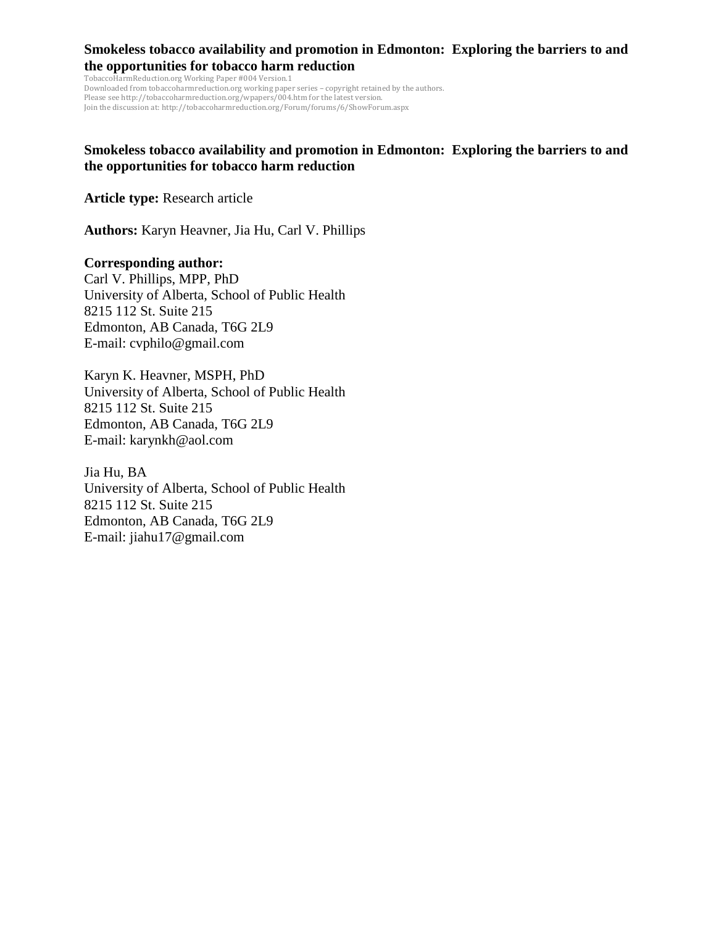TobaccoHarmReduction.org Working Paper #004 Version.1 Downloaded from tobaccoharmreduction.org working paper series – copyright retained by the authors. Please see http://tobaccoharmreduction.org/wpapers/004.htm for the latest version. Join the discussion at: http://tobaccoharmreduction.org/Forum/forums/6/ShowForum.aspx

## **Smokeless tobacco availability and promotion in Edmonton: Exploring the barriers to and the opportunities for tobacco harm reduction**

**Article type:** Research article

**Authors:** Karyn Heavner, Jia Hu, Carl V. Phillips

#### **Corresponding author:**

Carl V. Phillips, MPP, PhD University of Alberta, School of Public Health 8215 112 St. Suite 215 Edmonton, AB Canada, T6G 2L9 E-mail: cvphilo@gmail.com

Karyn K. Heavner, MSPH, PhD University of Alberta, School of Public Health 8215 112 St. Suite 215 Edmonton, AB Canada, T6G 2L9 E-mail: karynkh@aol.com

Jia Hu, BA University of Alberta, School of Public Health 8215 112 St. Suite 215 Edmonton, AB Canada, T6G 2L9 E-mail: jiahu17@gmail.com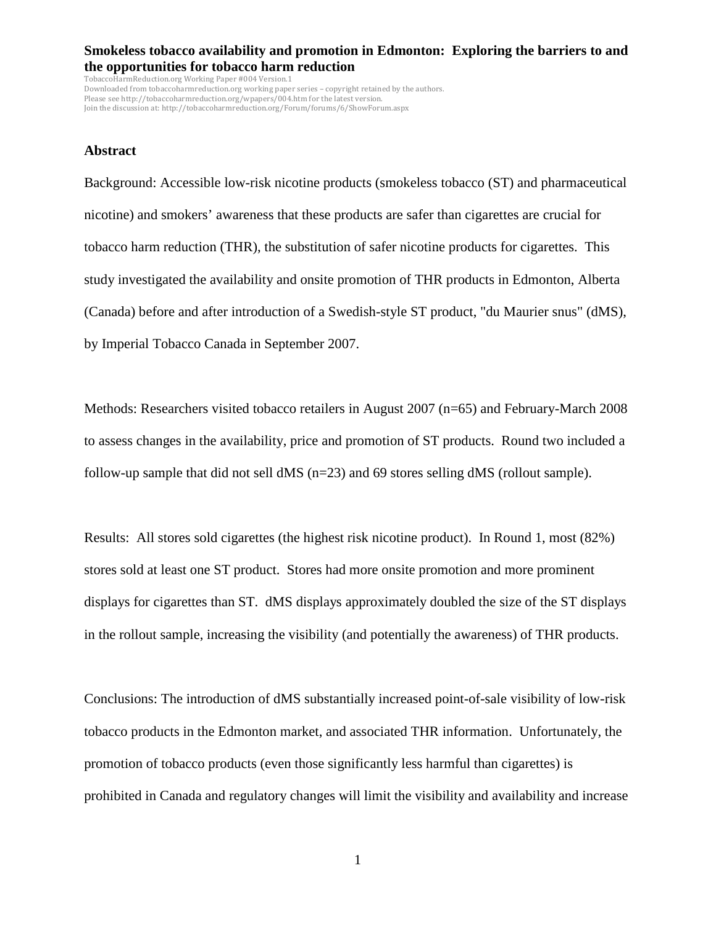TobaccoHarmReduction.org Working Paper #004 Version.1 Downloaded from tobaccoharmreduction.org working paper series – copyright retained by the authors. Please see http://tobaccoharmreduction.org/wpapers/004.htm for the latest version. Join the discussion at: http://tobaccoharmreduction.org/Forum/forums/6/ShowForum.aspx

#### **Abstract**

Background: Accessible low-risk nicotine products (smokeless tobacco (ST) and pharmaceutical nicotine) and smokers' awareness that these products are safer than cigarettes are crucial for tobacco harm reduction (THR), the substitution of safer nicotine products for cigarettes. This study investigated the availability and onsite promotion of THR products in Edmonton, Alberta (Canada) before and after introduction of a Swedish-style ST product, "du Maurier snus" (dMS), by Imperial Tobacco Canada in September 2007.

Methods: Researchers visited tobacco retailers in August 2007 (n=65) and February-March 2008 to assess changes in the availability, price and promotion of ST products. Round two included a follow-up sample that did not sell dMS (n=23) and 69 stores selling dMS (rollout sample).

Results: All stores sold cigarettes (the highest risk nicotine product). In Round 1, most (82%) stores sold at least one ST product. Stores had more onsite promotion and more prominent displays for cigarettes than ST. dMS displays approximately doubled the size of the ST displays in the rollout sample, increasing the visibility (and potentially the awareness) of THR products.

Conclusions: The introduction of dMS substantially increased point-of-sale visibility of low-risk tobacco products in the Edmonton market, and associated THR information. Unfortunately, the promotion of tobacco products (even those significantly less harmful than cigarettes) is prohibited in Canada and regulatory changes will limit the visibility and availability and increase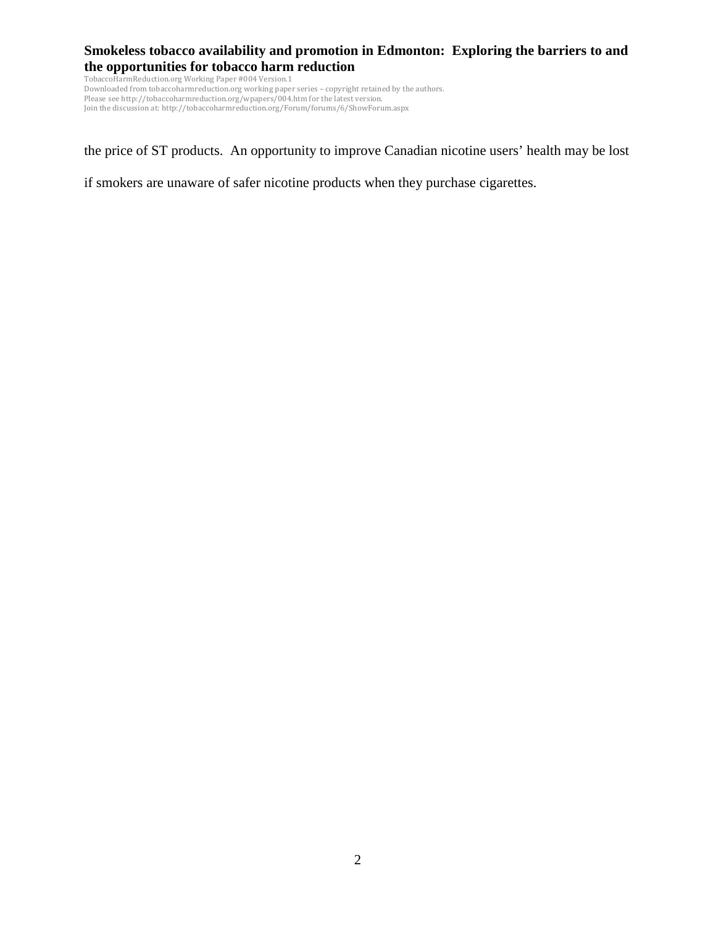TobaccoHarmReduction.org Working Paper #004 Version.1 Downloaded from tobaccoharmreduction.org working paper series – copyright retained by the authors. Please see http://tobaccoharmreduction.org/wpapers/004.htm for the latest version. Join the discussion at: http://tobaccoharmreduction.org/Forum/forums/6/ShowForum.aspx

the price of ST products. An opportunity to improve Canadian nicotine users' health may be lost

if smokers are unaware of safer nicotine products when they purchase cigarettes.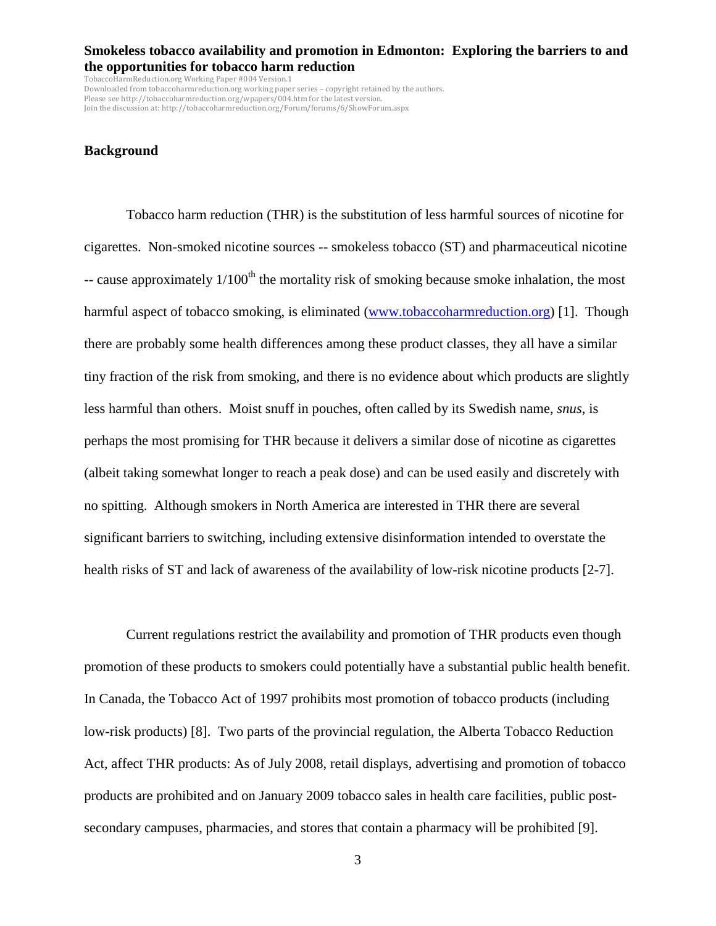$\widehat{\mathrm{TabarmReduction.org}}$  Working Paper #004 Version.1 Downloaded from tobaccoharmreduction.org working paper series – copyright retained by the authors. Please see http://tobaccoharmreduction.org/wpapers/004.htm for the latest version. Join the discussion at: http://tobaccoharmreduction.org/Forum/forums/6/ShowForum.aspx

#### **Background**

Tobacco harm reduction (THR) is the substitution of less harmful sources of nicotine for cigarettes. Non-smoked nicotine sources -- smokeless tobacco (ST) and pharmaceutical nicotine -- cause approximately  $1/100<sup>th</sup>$  the mortality risk of smoking because smoke inhalation, the most harmful aspect of tobacco smoking, is eliminated (www.tobaccoharmreduction.org) [1]. Though there are probably some health differences among these product classes, they all have a similar tiny fraction of the risk from smoking, and there is no evidence about which products are slightly less harmful than others. Moist snuff in pouches, often called by its Swedish name, *snus*, is perhaps the most promising for THR because it delivers a similar dose of nicotine as cigarettes (albeit taking somewhat longer to reach a peak dose) and can be used easily and discretely with no spitting. Although smokers in North America are interested in THR there are several significant barriers to switching, including extensive disinformation intended to overstate the health risks of ST and lack of awareness of the availability of low-risk nicotine products [2-7].

Current regulations restrict the availability and promotion of THR products even though promotion of these products to smokers could potentially have a substantial public health benefit. In Canada, the Tobacco Act of 1997 prohibits most promotion of tobacco products (including low-risk products) [8]. Two parts of the provincial regulation, the Alberta Tobacco Reduction Act, affect THR products: As of July 2008, retail displays, advertising and promotion of tobacco products are prohibited and on January 2009 tobacco sales in health care facilities, public postsecondary campuses, pharmacies, and stores that contain a pharmacy will be prohibited [9].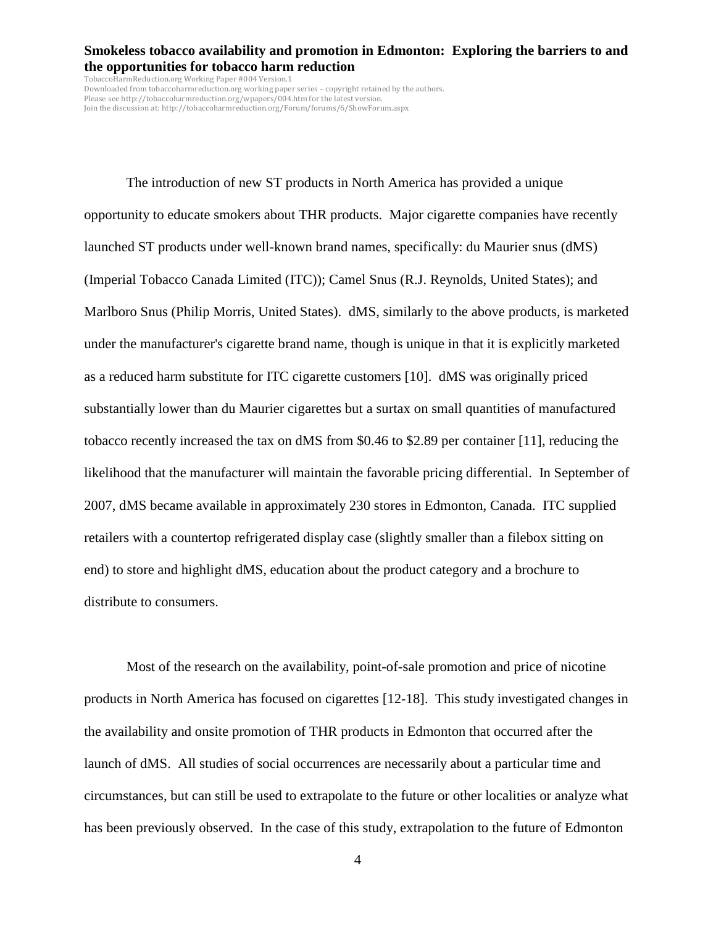$\widehat{\mathrm{TabarmReduction.org}}$  Working Paper #004 Version.1 Downloaded from tobaccoharmreduction.org working paper series – copyright retained by the authors. Please see http://tobaccoharmreduction.org/wpapers/004.htm for the latest version. Join the discussion at: http://tobaccoharmreduction.org/Forum/forums/6/ShowForum.aspx

The introduction of new ST products in North America has provided a unique opportunity to educate smokers about THR products. Major cigarette companies have recently launched ST products under well-known brand names, specifically: du Maurier snus (dMS) (Imperial Tobacco Canada Limited (ITC)); Camel Snus (R.J. Reynolds, United States); and Marlboro Snus (Philip Morris, United States). dMS, similarly to the above products, is marketed under the manufacturer's cigarette brand name, though is unique in that it is explicitly marketed as a reduced harm substitute for ITC cigarette customers [10]. dMS was originally priced substantially lower than du Maurier cigarettes but a surtax on small quantities of manufactured tobacco recently increased the tax on dMS from \$0.46 to \$2.89 per container [11], reducing the likelihood that the manufacturer will maintain the favorable pricing differential. In September of 2007, dMS became available in approximately 230 stores in Edmonton, Canada. ITC supplied retailers with a countertop refrigerated display case (slightly smaller than a filebox sitting on end) to store and highlight dMS, education about the product category and a brochure to distribute to consumers.

Most of the research on the availability, point-of-sale promotion and price of nicotine products in North America has focused on cigarettes [12-18]. This study investigated changes in the availability and onsite promotion of THR products in Edmonton that occurred after the launch of dMS. All studies of social occurrences are necessarily about a particular time and circumstances, but can still be used to extrapolate to the future or other localities or analyze what has been previously observed. In the case of this study, extrapolation to the future of Edmonton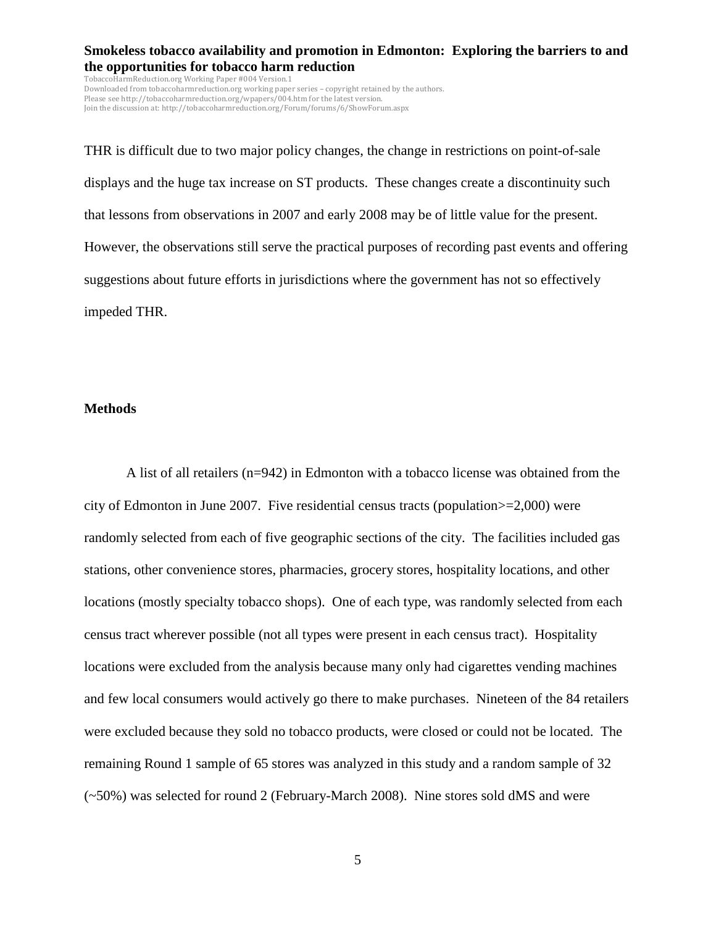TobaccoHarmReduction.org Working Paper #004 Version.1 Downloaded from tobaccoharmreduction.org working paper series – copyright retained by the authors. Please see http://tobaccoharmreduction.org/wpapers/004.htm for the latest version. Join the discussion at: http://tobaccoharmreduction.org/Forum/forums/6/ShowForum.aspx

THR is difficult due to two major policy changes, the change in restrictions on point-of-sale displays and the huge tax increase on ST products. These changes create a discontinuity such that lessons from observations in 2007 and early 2008 may be of little value for the present. However, the observations still serve the practical purposes of recording past events and offering suggestions about future efforts in jurisdictions where the government has not so effectively impeded THR.

#### **Methods**

A list of all retailers (n=942) in Edmonton with a tobacco license was obtained from the city of Edmonton in June 2007. Five residential census tracts (population>=2,000) were randomly selected from each of five geographic sections of the city. The facilities included gas stations, other convenience stores, pharmacies, grocery stores, hospitality locations, and other locations (mostly specialty tobacco shops). One of each type, was randomly selected from each census tract wherever possible (not all types were present in each census tract). Hospitality locations were excluded from the analysis because many only had cigarettes vending machines and few local consumers would actively go there to make purchases. Nineteen of the 84 retailers were excluded because they sold no tobacco products, were closed or could not be located. The remaining Round 1 sample of 65 stores was analyzed in this study and a random sample of 32 (~50%) was selected for round 2 (February-March 2008). Nine stores sold dMS and were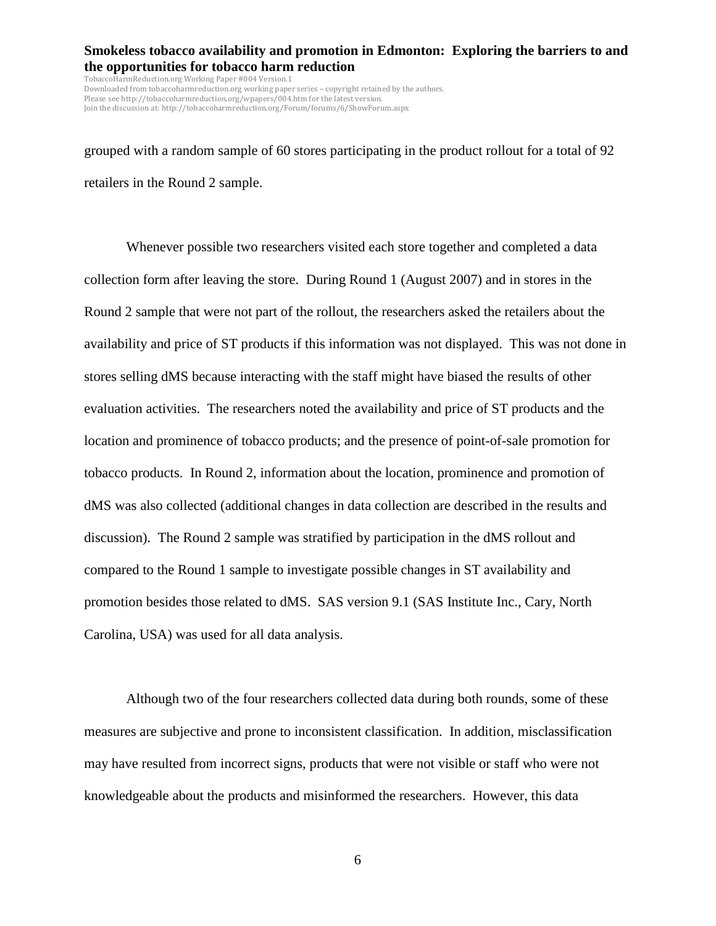TobaccoHarmReduction.org Working Paper #004 Version.1 Downloaded from tobaccoharmreduction.org working paper series – copyright retained by the authors. Please see http://tobaccoharmreduction.org/wpapers/004.htm for the latest version. Join the discussion at: http://tobaccoharmreduction.org/Forum/forums/6/ShowForum.aspx

grouped with a random sample of 60 stores participating in the product rollout for a total of 92 retailers in the Round 2 sample.

Whenever possible two researchers visited each store together and completed a data collection form after leaving the store. During Round 1 (August 2007) and in stores in the Round 2 sample that were not part of the rollout, the researchers asked the retailers about the availability and price of ST products if this information was not displayed. This was not done in stores selling dMS because interacting with the staff might have biased the results of other evaluation activities. The researchers noted the availability and price of ST products and the location and prominence of tobacco products; and the presence of point-of-sale promotion for tobacco products. In Round 2, information about the location, prominence and promotion of dMS was also collected (additional changes in data collection are described in the results and discussion). The Round 2 sample was stratified by participation in the dMS rollout and compared to the Round 1 sample to investigate possible changes in ST availability and promotion besides those related to dMS. SAS version 9.1 (SAS Institute Inc., Cary, North Carolina, USA) was used for all data analysis.

Although two of the four researchers collected data during both rounds, some of these measures are subjective and prone to inconsistent classification. In addition, misclassification may have resulted from incorrect signs, products that were not visible or staff who were not knowledgeable about the products and misinformed the researchers. However, this data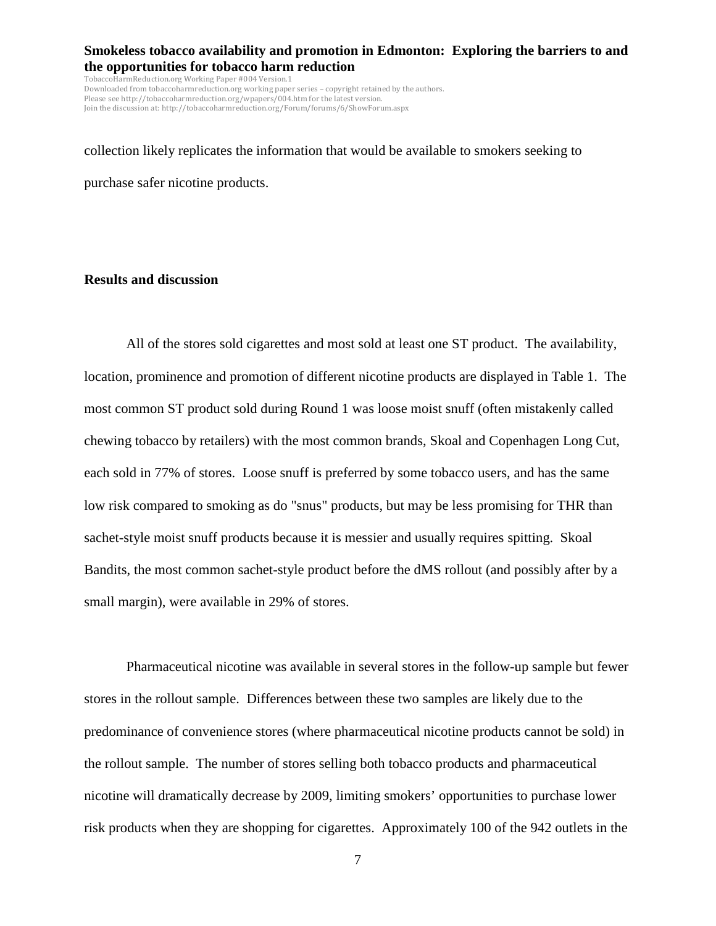TobaccoHarmReduction.org Working Paper #004 Version.1 Downloaded from tobaccoharmreduction.org working paper series – copyright retained by the authors. Please see http://tobaccoharmreduction.org/wpapers/004.htm for the latest version. Join the discussion at: http://tobaccoharmreduction.org/Forum/forums/6/ShowForum.aspx

collection likely replicates the information that would be available to smokers seeking to purchase safer nicotine products.

### **Results and discussion**

All of the stores sold cigarettes and most sold at least one ST product. The availability, location, prominence and promotion of different nicotine products are displayed in Table 1. The most common ST product sold during Round 1 was loose moist snuff (often mistakenly called chewing tobacco by retailers) with the most common brands, Skoal and Copenhagen Long Cut, each sold in 77% of stores. Loose snuff is preferred by some tobacco users, and has the same low risk compared to smoking as do "snus" products, but may be less promising for THR than sachet-style moist snuff products because it is messier and usually requires spitting. Skoal Bandits, the most common sachet-style product before the dMS rollout (and possibly after by a small margin), were available in 29% of stores.

Pharmaceutical nicotine was available in several stores in the follow-up sample but fewer stores in the rollout sample. Differences between these two samples are likely due to the predominance of convenience stores (where pharmaceutical nicotine products cannot be sold) in the rollout sample. The number of stores selling both tobacco products and pharmaceutical nicotine will dramatically decrease by 2009, limiting smokers' opportunities to purchase lower risk products when they are shopping for cigarettes. Approximately 100 of the 942 outlets in the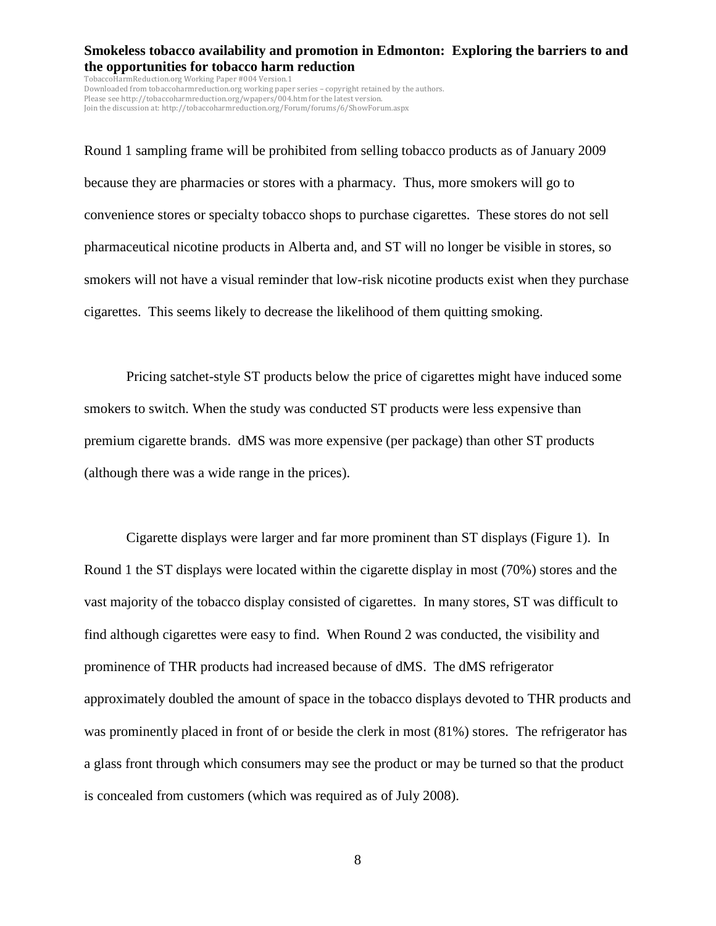TobaccoHarmReduction.org Working Paper #004 Version.1 Downloaded from tobaccoharmreduction.org working paper series – copyright retained by the authors. Please see http://tobaccoharmreduction.org/wpapers/004.htm for the latest version. Join the discussion at: http://tobaccoharmreduction.org/Forum/forums/6/ShowForum.aspx

Round 1 sampling frame will be prohibited from selling tobacco products as of January 2009 because they are pharmacies or stores with a pharmacy. Thus, more smokers will go to convenience stores or specialty tobacco shops to purchase cigarettes. These stores do not sell pharmaceutical nicotine products in Alberta and, and ST will no longer be visible in stores, so smokers will not have a visual reminder that low-risk nicotine products exist when they purchase cigarettes. This seems likely to decrease the likelihood of them quitting smoking.

Pricing satchet-style ST products below the price of cigarettes might have induced some smokers to switch. When the study was conducted ST products were less expensive than premium cigarette brands. dMS was more expensive (per package) than other ST products (although there was a wide range in the prices).

Cigarette displays were larger and far more prominent than ST displays (Figure 1). In Round 1 the ST displays were located within the cigarette display in most (70%) stores and the vast majority of the tobacco display consisted of cigarettes. In many stores, ST was difficult to find although cigarettes were easy to find. When Round 2 was conducted, the visibility and prominence of THR products had increased because of dMS. The dMS refrigerator approximately doubled the amount of space in the tobacco displays devoted to THR products and was prominently placed in front of or beside the clerk in most  $(81%)$  stores. The refrigerator has a glass front through which consumers may see the product or may be turned so that the product is concealed from customers (which was required as of July 2008).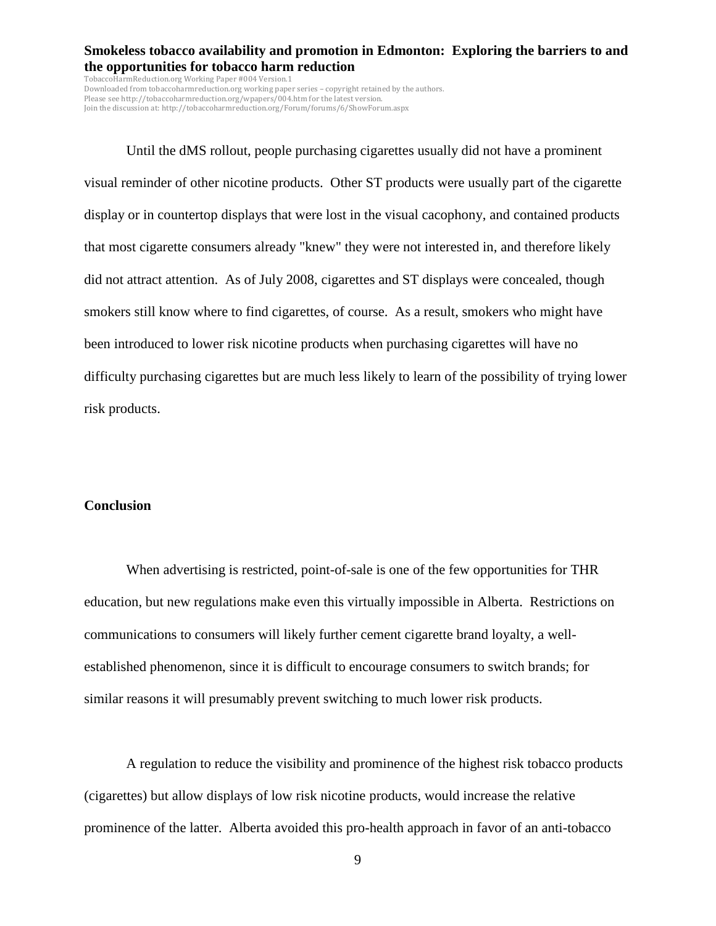TobaccoHarmReduction.org Working Paper #004 Version.1 Downloaded from tobaccoharmreduction.org working paper series – copyright retained by the authors. Please see http://tobaccoharmreduction.org/wpapers/004.htm for the latest version. Join the discussion at: http://tobaccoharmreduction.org/Forum/forums/6/ShowForum.aspx

Until the dMS rollout, people purchasing cigarettes usually did not have a prominent visual reminder of other nicotine products. Other ST products were usually part of the cigarette display or in countertop displays that were lost in the visual cacophony, and contained products that most cigarette consumers already "knew" they were not interested in, and therefore likely did not attract attention. As of July 2008, cigarettes and ST displays were concealed, though smokers still know where to find cigarettes, of course. As a result, smokers who might have been introduced to lower risk nicotine products when purchasing cigarettes will have no difficulty purchasing cigarettes but are much less likely to learn of the possibility of trying lower risk products.

#### **Conclusion**

When advertising is restricted, point-of-sale is one of the few opportunities for THR education, but new regulations make even this virtually impossible in Alberta. Restrictions on communications to consumers will likely further cement cigarette brand loyalty, a wellestablished phenomenon, since it is difficult to encourage consumers to switch brands; for similar reasons it will presumably prevent switching to much lower risk products.

A regulation to reduce the visibility and prominence of the highest risk tobacco products (cigarettes) but allow displays of low risk nicotine products, would increase the relative prominence of the latter. Alberta avoided this pro-health approach in favor of an anti-tobacco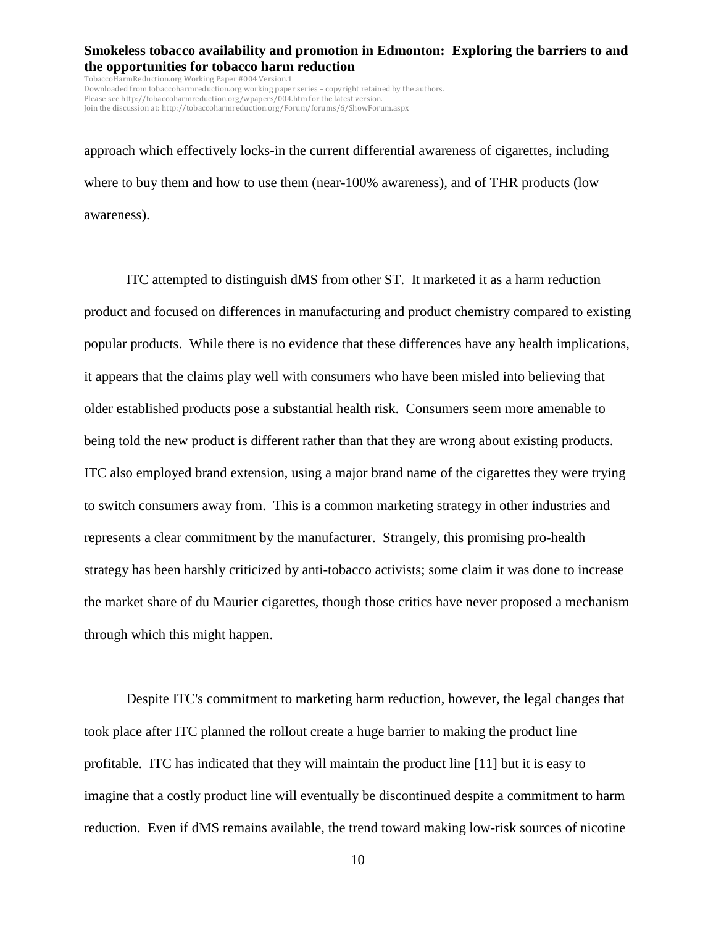TobaccoHarmReduction.org Working Paper #004 Version.1 Downloaded from tobaccoharmreduction.org working paper series – copyright retained by the authors. Please see http://tobaccoharmreduction.org/wpapers/004.htm for the latest version. Join the discussion at: http://tobaccoharmreduction.org/Forum/forums/6/ShowForum.aspx

approach which effectively locks-in the current differential awareness of cigarettes, including where to buy them and how to use them (near-100% awareness), and of THR products (low awareness).

ITC attempted to distinguish dMS from other ST. It marketed it as a harm reduction product and focused on differences in manufacturing and product chemistry compared to existing popular products. While there is no evidence that these differences have any health implications, it appears that the claims play well with consumers who have been misled into believing that older established products pose a substantial health risk. Consumers seem more amenable to being told the new product is different rather than that they are wrong about existing products. ITC also employed brand extension, using a major brand name of the cigarettes they were trying to switch consumers away from. This is a common marketing strategy in other industries and represents a clear commitment by the manufacturer. Strangely, this promising pro-health strategy has been harshly criticized by anti-tobacco activists; some claim it was done to increase the market share of du Maurier cigarettes, though those critics have never proposed a mechanism through which this might happen.

Despite ITC's commitment to marketing harm reduction, however, the legal changes that took place after ITC planned the rollout create a huge barrier to making the product line profitable. ITC has indicated that they will maintain the product line [11] but it is easy to imagine that a costly product line will eventually be discontinued despite a commitment to harm reduction. Even if dMS remains available, the trend toward making low-risk sources of nicotine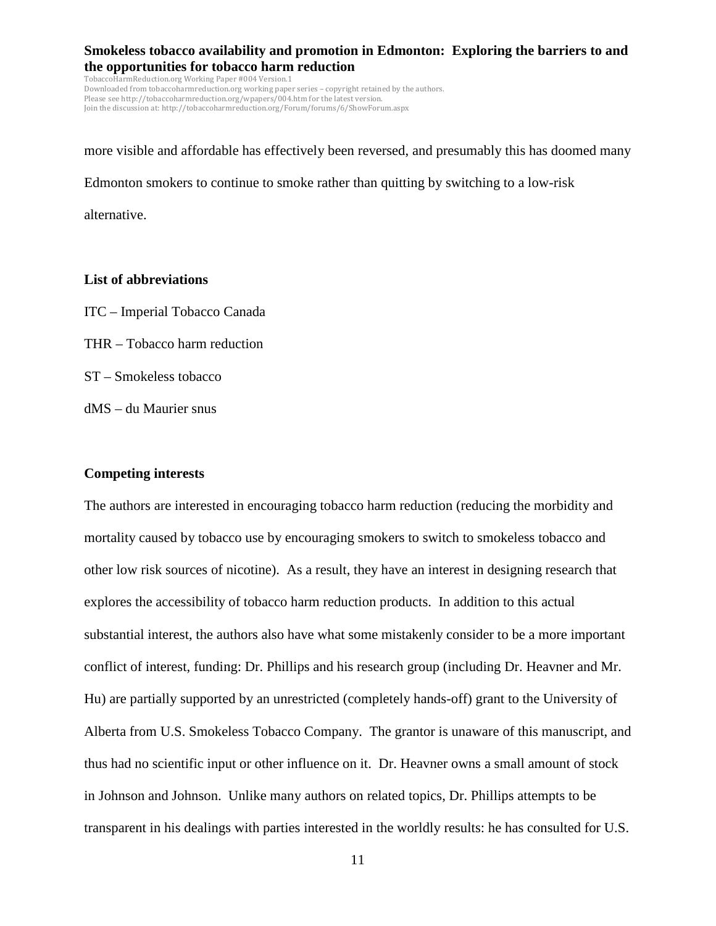TobaccoHarmReduction.org Working Paper #004 Version.1 Downloaded from tobaccoharmreduction.org working paper series – copyright retained by the authors. Please see http://tobaccoharmreduction.org/wpapers/004.htm for the latest version. Join the discussion at: http://tobaccoharmreduction.org/Forum/forums/6/ShowForum.aspx

more visible and affordable has effectively been reversed, and presumably this has doomed many Edmonton smokers to continue to smoke rather than quitting by switching to a low-risk alternative.

#### **List of abbreviations**

- ITC Imperial Tobacco Canada
- THR Tobacco harm reduction
- ST Smokeless tobacco
- dMS du Maurier snus

#### **Competing interests**

The authors are interested in encouraging tobacco harm reduction (reducing the morbidity and mortality caused by tobacco use by encouraging smokers to switch to smokeless tobacco and other low risk sources of nicotine). As a result, they have an interest in designing research that explores the accessibility of tobacco harm reduction products. In addition to this actual substantial interest, the authors also have what some mistakenly consider to be a more important conflict of interest, funding: Dr. Phillips and his research group (including Dr. Heavner and Mr. Hu) are partially supported by an unrestricted (completely hands-off) grant to the University of Alberta from U.S. Smokeless Tobacco Company. The grantor is unaware of this manuscript, and thus had no scientific input or other influence on it. Dr. Heavner owns a small amount of stock in Johnson and Johnson. Unlike many authors on related topics, Dr. Phillips attempts to be transparent in his dealings with parties interested in the worldly results: he has consulted for U.S.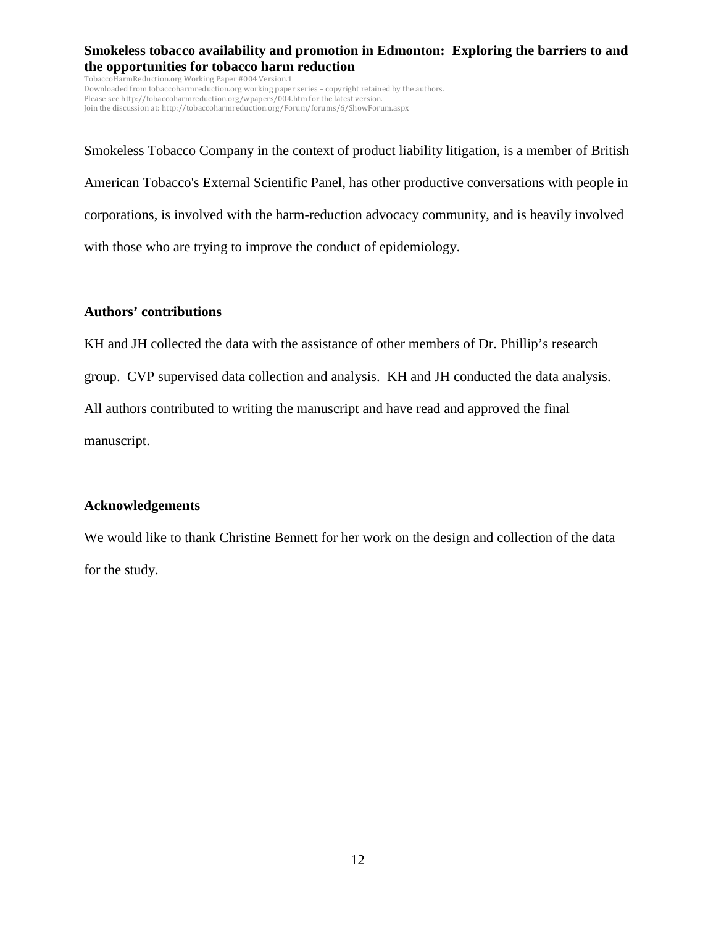TobaccoHarmReduction.org Working Paper #004 Version.1 Downloaded from tobaccoharmreduction.org working paper series – copyright retained by the authors. Please see http://tobaccoharmreduction.org/wpapers/004.htm for the latest version. Join the discussion at: http://tobaccoharmreduction.org/Forum/forums/6/ShowForum.aspx

Smokeless Tobacco Company in the context of product liability litigation, is a member of British American Tobacco's External Scientific Panel, has other productive conversations with people in corporations, is involved with the harm-reduction advocacy community, and is heavily involved with those who are trying to improve the conduct of epidemiology.

## **Authors' contributions**

KH and JH collected the data with the assistance of other members of Dr. Phillip's research group. CVP supervised data collection and analysis. KH and JH conducted the data analysis. All authors contributed to writing the manuscript and have read and approved the final manuscript.

# **Acknowledgements**

We would like to thank Christine Bennett for her work on the design and collection of the data for the study.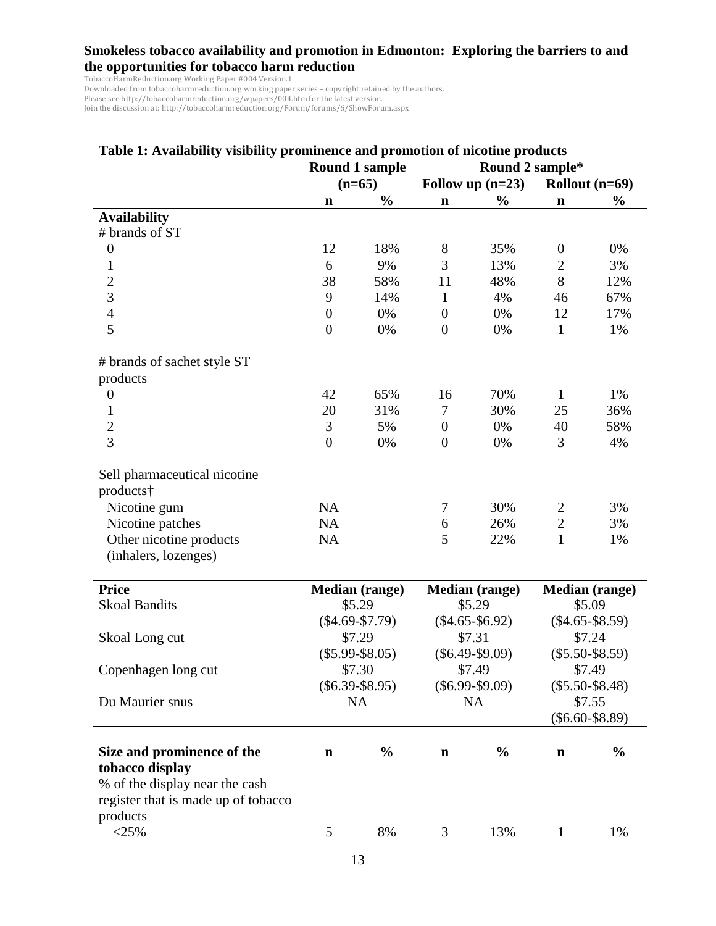TobaccoHarmReduction.org Working Paper #004 Version.1

Downloaded from tobaccoharmreduction.org working paper series – copyright retained by the authors.

Please see http://tobaccoharmreduction.org/wpapers/004.htm for the latest version.

Join the discussion at: http://tobaccoharmreduction.org/Forum/forums/6/ShowForum.aspx

| Table 1: Availability visibility prominence and promotion of nicotine products |                       |                |                       |                    |                       |                  |  |  |  |
|--------------------------------------------------------------------------------|-----------------------|----------------|-----------------------|--------------------|-----------------------|------------------|--|--|--|
|                                                                                |                       | Round 1 sample | Round 2 sample*       |                    |                       |                  |  |  |  |
|                                                                                | $(n=65)$              |                |                       | Follow up $(n=23)$ |                       | Rollout $(n=69)$ |  |  |  |
|                                                                                | $\mathbf n$           | $\frac{0}{0}$  | $\mathbf n$           | $\frac{0}{0}$      | $\mathbf n$           | $\frac{0}{0}$    |  |  |  |
| <b>Availability</b>                                                            |                       |                |                       |                    |                       |                  |  |  |  |
| # brands of ST                                                                 |                       |                |                       |                    |                       |                  |  |  |  |
| $\boldsymbol{0}$                                                               | 12                    | 18%            | 8                     | 35%                | $\boldsymbol{0}$      | 0%               |  |  |  |
| $\mathbf{1}$                                                                   | 6                     | 9%             | 3                     | 13%                | $\overline{2}$        | 3%               |  |  |  |
| $\overline{c}$                                                                 | 38                    | 58%            | 11                    | 48%                | 8                     | 12%              |  |  |  |
| 3                                                                              | 9                     | 14%            | $\mathbf{1}$          | 4%                 | 46                    | 67%              |  |  |  |
| $\overline{4}$                                                                 | $\boldsymbol{0}$      | 0%             | $\boldsymbol{0}$      | 0%                 | 12                    | 17%              |  |  |  |
| 5                                                                              | $\overline{0}$        | 0%             | $\overline{0}$        | 0%                 | $\mathbf{1}$          | 1%               |  |  |  |
| # brands of sachet style ST                                                    |                       |                |                       |                    |                       |                  |  |  |  |
| products                                                                       |                       |                |                       |                    |                       |                  |  |  |  |
| $\boldsymbol{0}$                                                               | 42                    | 65%            | 16                    | 70%                | $\mathbf{1}$          | 1%               |  |  |  |
| 1                                                                              | 20                    | 31%            | 7                     | 30%                | 25                    | 36%              |  |  |  |
| $\overline{c}$                                                                 | $\mathfrak{Z}$        | 5%             | $\boldsymbol{0}$      | 0%                 | 40                    | 58%              |  |  |  |
| $\overline{3}$                                                                 | $\overline{0}$        | 0%             | $\overline{0}$        | 0%                 | 3                     | 4%               |  |  |  |
| Sell pharmaceutical nicotine                                                   |                       |                |                       |                    |                       |                  |  |  |  |
| products†                                                                      |                       |                |                       |                    |                       |                  |  |  |  |
| Nicotine gum                                                                   | <b>NA</b>             |                | 7                     | 30%                | $\overline{c}$        | 3%               |  |  |  |
| Nicotine patches                                                               | <b>NA</b>             |                | 6                     | 26%                | $\overline{2}$        | 3%               |  |  |  |
| Other nicotine products                                                        | <b>NA</b>             |                | 5                     | 22%                | $\mathbf{1}$          | 1%               |  |  |  |
| (inhalers, lozenges)                                                           |                       |                |                       |                    |                       |                  |  |  |  |
| <b>Price</b>                                                                   | <b>Median (range)</b> |                | <b>Median (range)</b> |                    | <b>Median (range)</b> |                  |  |  |  |
| <b>Skoal Bandits</b>                                                           | \$5.29                |                | \$5.29                |                    | \$5.09                |                  |  |  |  |
|                                                                                | $(\$4.69-S7.79)$      |                | $(\$4.65-\$6.92)$     |                    | $(\$4.65-\$8.59)$     |                  |  |  |  |
| Skoal Long cut                                                                 |                       | \$7.29         |                       | \$7.31             |                       | \$7.24           |  |  |  |
|                                                                                | $(\$5.99-\$8.05)$     |                | $(\$6.49-S9.09)$      |                    | $(\$5.50-\$8.59)$     |                  |  |  |  |
| Copenhagen long cut                                                            | \$7.30                |                | \$7.49                |                    | \$7.49                |                  |  |  |  |
|                                                                                | $(\$6.39-\$8.95)$     |                | $(\$6.99-\$9.09)$     |                    | $(\$5.50-\$8.48)$     |                  |  |  |  |
| Du Maurier snus                                                                | <b>NA</b>             |                | <b>NA</b>             |                    | \$7.55                |                  |  |  |  |
|                                                                                |                       |                |                       |                    | $(\$6.60-\$8.89)$     |                  |  |  |  |
| Size and prominence of the                                                     | $\mathbf n$           | $\frac{0}{0}$  | $\mathbf n$           | $\frac{0}{0}$      | $\mathbf n$           | $\frac{0}{0}$    |  |  |  |
| tobacco display                                                                |                       |                |                       |                    |                       |                  |  |  |  |
| % of the display near the cash                                                 |                       |                |                       |                    |                       |                  |  |  |  |
| register that is made up of tobacco                                            |                       |                |                       |                    |                       |                  |  |  |  |
| products                                                                       |                       |                |                       |                    |                       |                  |  |  |  |
| $<$ 25%                                                                        | 5                     | 8%             | 3                     | 13%                | $\mathbf{1}$          | 1%               |  |  |  |
|                                                                                |                       |                |                       |                    |                       |                  |  |  |  |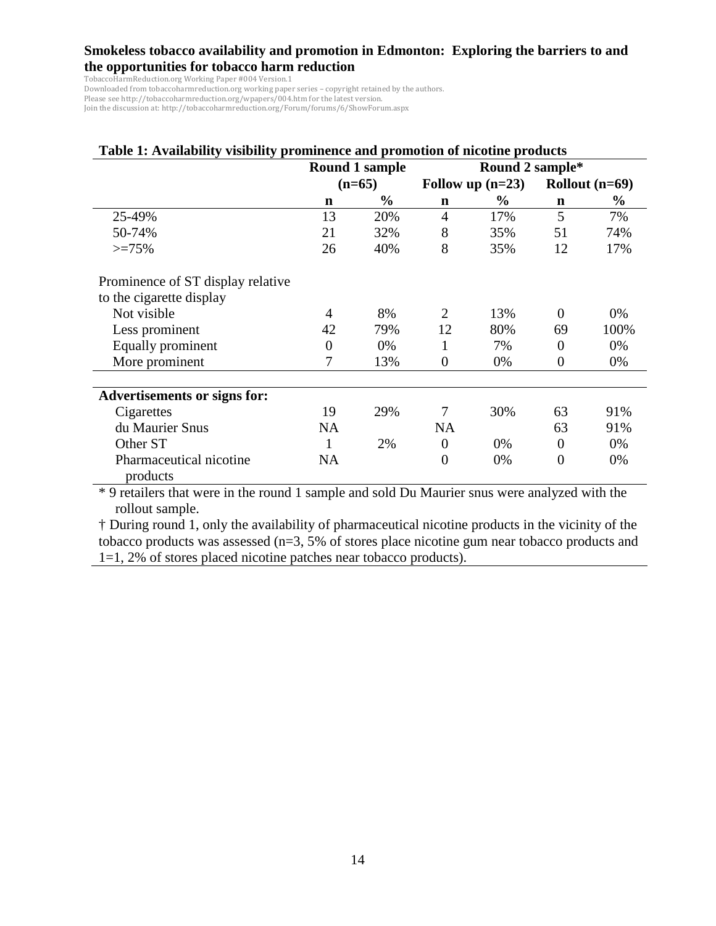TobaccoHarmReduction.org Working Paper #004 Version.1

Downloaded from tobaccoharmreduction.org working paper series – copyright retained by the authors.

Please see http://tobaccoharmreduction.org/wpapers/004.htm for the latest version. Join the discussion at: http://tobaccoharmreduction.org/Forum/forums/6/ShowForum.aspx

| Table 1: Availability visibility prominence and promotion of nicotine products |                |                |                    |               |                  |               |  |  |  |
|--------------------------------------------------------------------------------|----------------|----------------|--------------------|---------------|------------------|---------------|--|--|--|
|                                                                                |                | Round 1 sample | Round 2 sample*    |               |                  |               |  |  |  |
|                                                                                | $(n=65)$       |                | Follow up $(n=23)$ |               | Rollout $(n=69)$ |               |  |  |  |
|                                                                                | $\mathbf n$    | $\frac{0}{0}$  | $\mathbf n$        | $\frac{6}{9}$ | $\mathbf n$      | $\frac{6}{9}$ |  |  |  |
| 25-49%                                                                         | 13             | 20%            | $\overline{4}$     | 17%           | 5                | 7%            |  |  |  |
| 50-74%                                                                         | 21             | 32%            | 8                  | 35%           | 51               | 74%           |  |  |  |
| $>=75%$                                                                        | 26             | 40%            | 8                  | 35%           | 12               | 17%           |  |  |  |
| Prominence of ST display relative                                              |                |                |                    |               |                  |               |  |  |  |
| to the cigarette display                                                       |                |                |                    |               |                  |               |  |  |  |
| Not visible                                                                    | 4              | 8%             | $\overline{2}$     | 13%           | $\Omega$         | 0%            |  |  |  |
| Less prominent                                                                 | 42             | 79%            | 12                 | 80%           | 69               | 100%          |  |  |  |
| Equally prominent                                                              | $\overline{0}$ | 0%             | 1                  | 7%            | $\Omega$         | 0%            |  |  |  |
| More prominent                                                                 | 7              | 13%            | $\theta$           | $0\%$         | $\overline{0}$   | 0%            |  |  |  |
| <b>Advertisements or signs for:</b>                                            |                |                |                    |               |                  |               |  |  |  |
| Cigarettes                                                                     | 19             | 29%            | 7                  | 30%           | 63               | 91%           |  |  |  |
| du Maurier Snus                                                                | <b>NA</b>      |                | <b>NA</b>          |               | 63               | 91%           |  |  |  |
| Other ST                                                                       | 1              | 2%             | $\overline{0}$     | 0%            | $\theta$         | 0%            |  |  |  |
| Pharmaceutical nicotine<br>products                                            | <b>NA</b>      |                | $\overline{0}$     | 0%            | $\overline{0}$   | 0%            |  |  |  |

\* 9 retailers that were in the round 1 sample and sold Du Maurier snus were analyzed with the rollout sample.

† During round 1, only the availability of pharmaceutical nicotine products in the vicinity of the tobacco products was assessed (n=3, 5% of stores place nicotine gum near tobacco products and 1=1, 2% of stores placed nicotine patches near tobacco products).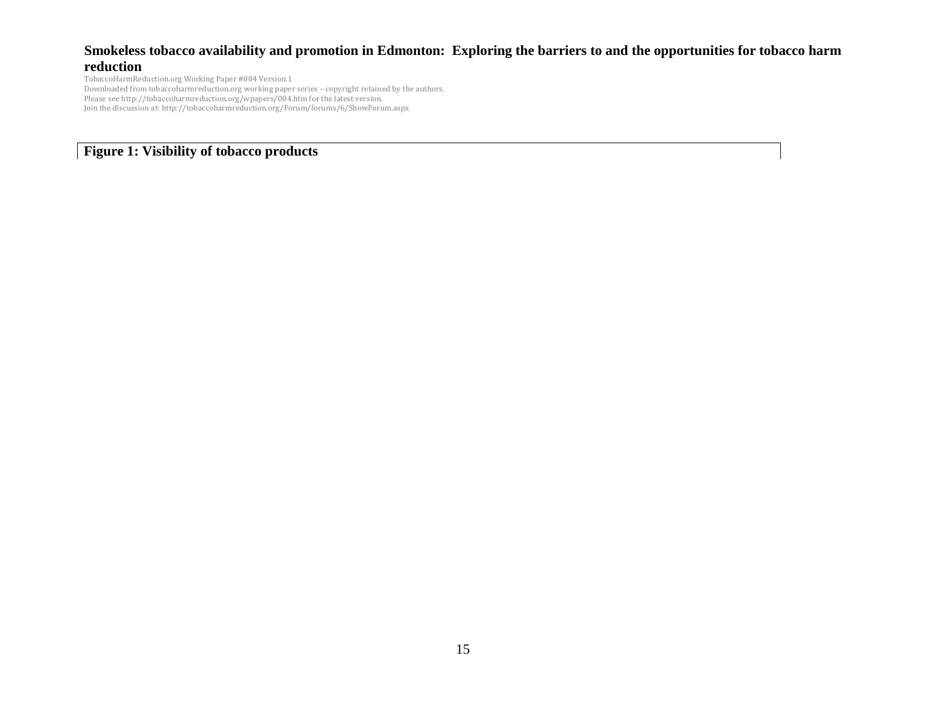TobaccoHarmReduction.org Working Paper #004 Version.1 Downloaded from tobaccoharmreduction.org working paper series – copyright retained by the authors. Please see http://tobaccoharmreduction.org/wpapers/004.htm for the latest version. Join the discussion at: http://tobaccoharmreduction.org/Forum/forums/6/ShowForum.aspx

**Figure 1: Visibility of tobacco products**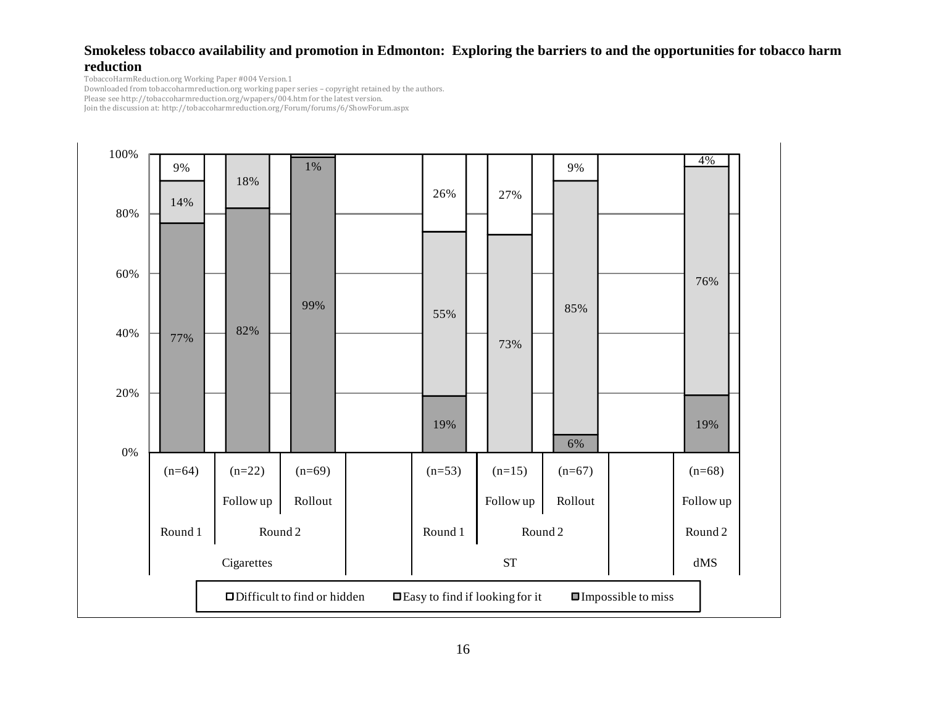TobaccoHarmReduction.org Working Paper #004 Version.1

Downloaded from tobaccoharmreduction.org working paper series – copyright retained by the authors.

Please see http://tobaccoharmreduction.org/wpapers/004.htm for the latest version. Join the discussion at: http://tobaccoharmreduction.org/Forum/forums/6/ShowForum.aspx

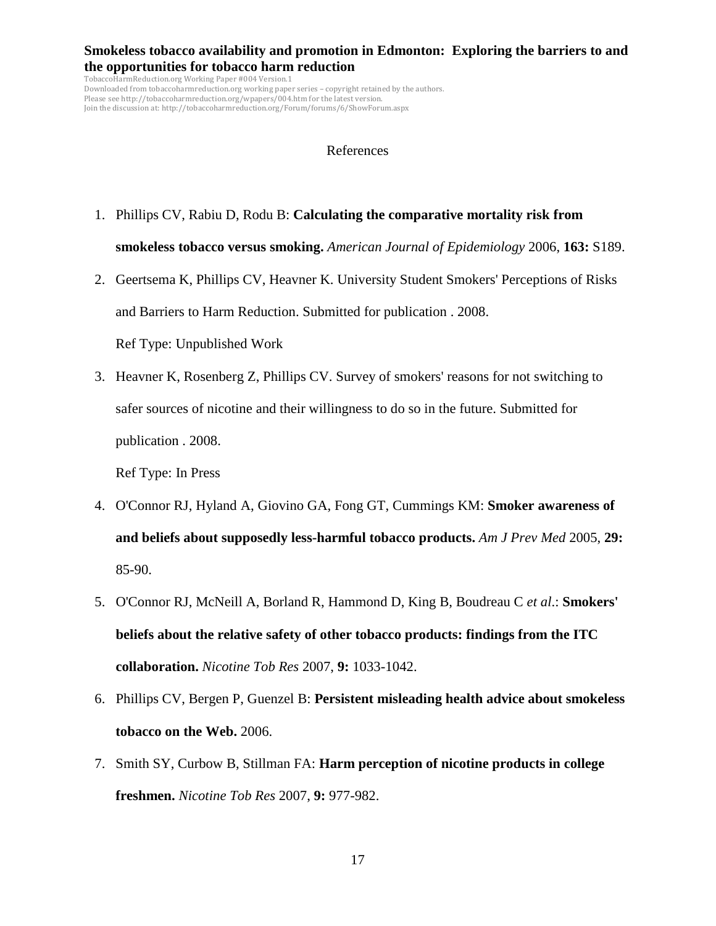TobaccoHarmReduction.org Working Paper #004 Version.1 Downloaded from tobaccoharmreduction.org working paper series – copyright retained by the authors. Please see http://tobaccoharmreduction.org/wpapers/004.htm for the latest version. Join the discussion at: http://tobaccoharmreduction.org/Forum/forums/6/ShowForum.aspx

#### References

- 1. Phillips CV, Rabiu D, Rodu B: **Calculating the comparative mortality risk from smokeless tobacco versus smoking.** *American Journal of Epidemiology* 2006, **163:** S189.
- 2. Geertsema K, Phillips CV, Heavner K. University Student Smokers' Perceptions of Risks and Barriers to Harm Reduction. Submitted for publication . 2008.

Ref Type: Unpublished Work

 3. Heavner K, Rosenberg Z, Phillips CV. Survey of smokers' reasons for not switching to safer sources of nicotine and their willingness to do so in the future. Submitted for publication . 2008.

Ref Type: In Press

- 4. O'Connor RJ, Hyland A, Giovino GA, Fong GT, Cummings KM: **Smoker awareness of and beliefs about supposedly less-harmful tobacco products.** *Am J Prev Med* 2005, **29:** 85-90.
- 5. O'Connor RJ, McNeill A, Borland R, Hammond D, King B, Boudreau C *et al*.: **Smokers' beliefs about the relative safety of other tobacco products: findings from the ITC collaboration.** *Nicotine Tob Res* 2007, **9:** 1033-1042.
- 6. Phillips CV, Bergen P, Guenzel B: **Persistent misleading health advice about smokeless tobacco on the Web.** 2006.
- 7. Smith SY, Curbow B, Stillman FA: **Harm perception of nicotine products in college freshmen.** *Nicotine Tob Res* 2007, **9:** 977-982.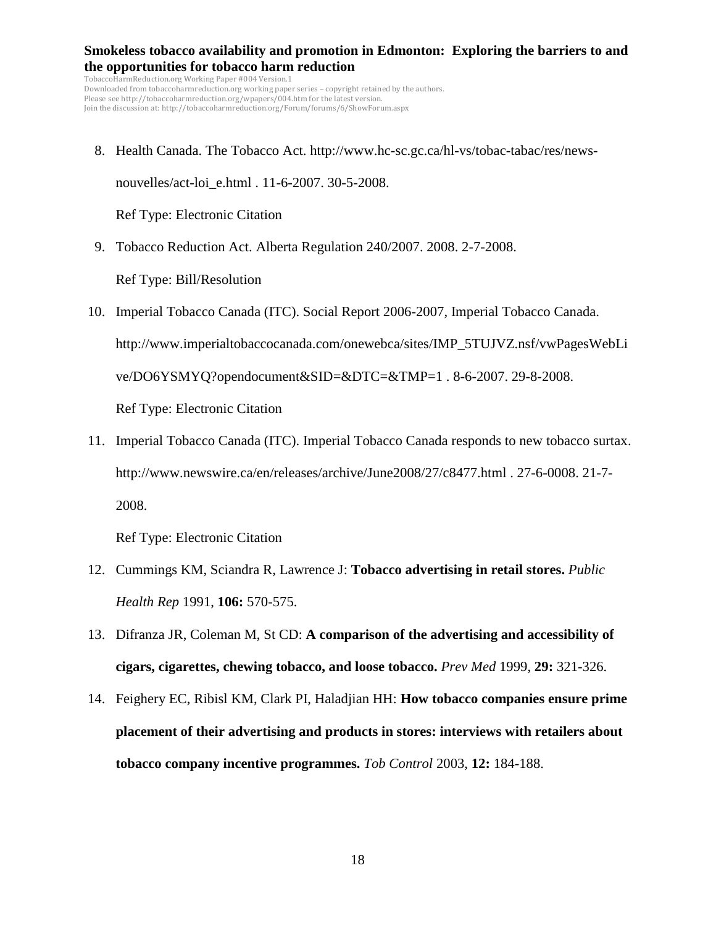TobaccoHarmReduction.org Working Paper #004 Version.1 Downloaded from tobaccoharmreduction.org working paper series – copyright retained by the authors. Please see http://tobaccoharmreduction.org/wpapers/004.htm for the latest version. Join the discussion at: http://tobaccoharmreduction.org/Forum/forums/6/ShowForum.aspx

 8. Health Canada. The Tobacco Act. http://www.hc-sc.gc.ca/hl-vs/tobac-tabac/res/newsnouvelles/act-loi\_e.html . 11-6-2007. 30-5-2008.

Ref Type: Electronic Citation

9. Tobacco Reduction Act. Alberta Regulation 240/2007. 2008. 2-7-2008.

Ref Type: Bill/Resolution

- 10. Imperial Tobacco Canada (ITC). Social Report 2006-2007, Imperial Tobacco Canada. http://www.imperialtobaccocanada.com/onewebca/sites/IMP\_5TUJVZ.nsf/vwPagesWebLi ve/DO6YSMYQ?opendocument&SID=&DTC=&TMP=1 . 8-6-2007. 29-8-2008. Ref Type: Electronic Citation
- 11. Imperial Tobacco Canada (ITC). Imperial Tobacco Canada responds to new tobacco surtax. http://www.newswire.ca/en/releases/archive/June2008/27/c8477.html . 27-6-0008. 21-7- 2008.

Ref Type: Electronic Citation

- 12. Cummings KM, Sciandra R, Lawrence J: **Tobacco advertising in retail stores.** *Public Health Rep* 1991, **106:** 570-575.
- 13. Difranza JR, Coleman M, St CD: **A comparison of the advertising and accessibility of cigars, cigarettes, chewing tobacco, and loose tobacco.** *Prev Med* 1999, **29:** 321-326.
- 14. Feighery EC, Ribisl KM, Clark PI, Haladjian HH: **How tobacco companies ensure prime placement of their advertising and products in stores: interviews with retailers about tobacco company incentive programmes.** *Tob Control* 2003, **12:** 184-188.